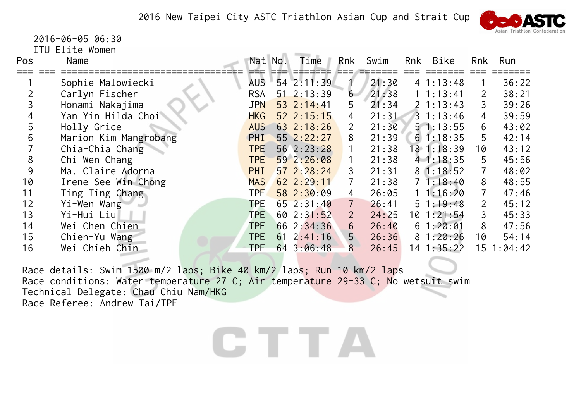

 2016-06-05 06:30ITU Elite Women

| Pos | Name                  | Nat No.    |    | Time             | Rnk                       | Swim  | Rnk | Bike           | Rnk                   | Run     |
|-----|-----------------------|------------|----|------------------|---------------------------|-------|-----|----------------|-----------------------|---------|
|     | Sophie Malowiecki     | <b>AUS</b> |    | 54 2:11:39       |                           | 21:30 |     | 41:13:48       |                       | 36:22   |
|     | Carlyn Fischer        | <b>RSA</b> |    | $51 \t2:13:39$   | 6                         | 21:38 |     | 1 1:13:41      |                       | 38:21   |
|     | Honami Nakajima       | <b>JPN</b> |    | $53 \t2:14:41$   | 5                         | 21:34 |     | $2 \; 1:13:43$ | 3                     | 39:26   |
|     | Yan Yin Hilda Choi    | <b>HKG</b> |    | $52 \t2:15:15$   | 4                         | 21:31 |     | $3 \t1:13:46$  | 4                     | 39:59   |
|     | Holly Grice           | <b>AUS</b> |    | $63 \t2:18:26$   | $\overline{2}$            | 21:30 |     | 51:13:55       | 6                     | 43:02   |
| 6   | Marion Kim Mangrobang | PHI        |    | 552:22:27        | 8                         | 21:39 |     | $6\;1:18:35$   | 5                     | 42:14   |
|     | Chia-Chia Chang       | <b>TPE</b> |    | 56 2:23:28       |                           | 21:38 |     | 18 1:18:39     | 10                    | 43:12   |
| 8   | Chi Wen Chang         | <b>TPE</b> |    | 592:26:08        |                           | 21:38 |     | 41:18:35       | 5                     | 45:56   |
| 9   | Ma. Claire Adorna     | <b>PHI</b> |    | $57 \ \ 2:28:24$ | 3                         | 21:31 |     | 81:18:52       |                       | 48:02   |
| 10  | Irene See Win Chong   | <b>MAS</b> |    | $62 \t2:29:11$   |                           | 21:38 |     | 71:18:40       | 8                     | 48:55   |
| 11  | Ting-Ting Chang       | <b>TPE</b> |    | 582:30:09        | 4                         | 26:05 |     | 11:16:20       | 7                     | 47:46   |
| 12  | Yi-Wen Wang           | TPE        |    | $65 \t2:31:40$   | $7\phantom{.}$            | 26:41 |     | 51:19:48       | $\mathbf{2}^{\prime}$ | 45:12   |
| 13  | Yi-Hui Liu            | <b>TPE</b> |    | $60$ $2:31:52$   | $\mathsf{2}^{\mathsf{1}}$ | 24:25 |     | 10 1:21:54     | 3                     | 45:33   |
| 14  | Wei Chen Chien        | <b>TPE</b> |    | 662:34:36        | 6                         | 26:40 |     | 61:20:01       | 8                     | 47:56   |
| 15  | Chien-Yu Wang         | <b>TPE</b> | 61 | 2:41:16          | 5 <sup>1</sup>            | 26:36 |     | 81:20:26       | 10                    | 54:14   |
| 16  | Wei-Chieh Chin        | <b>TPE</b> | 64 | 3:06:48          | 8                         | 26:45 |     | $14$ 1:35:22   | 15                    | 1:04:42 |

Race details: Swim 1500 m/2 laps; Bike 40 km/2 laps; Run 10 km/2 laps Race conditions: Water temperature 27 C; Air temperature 29-33 C; No wetsuit swim Technical Delegate: Chau Chiu Nam/HKG Race Referee: Andrew Tai/TPE

## C T T A